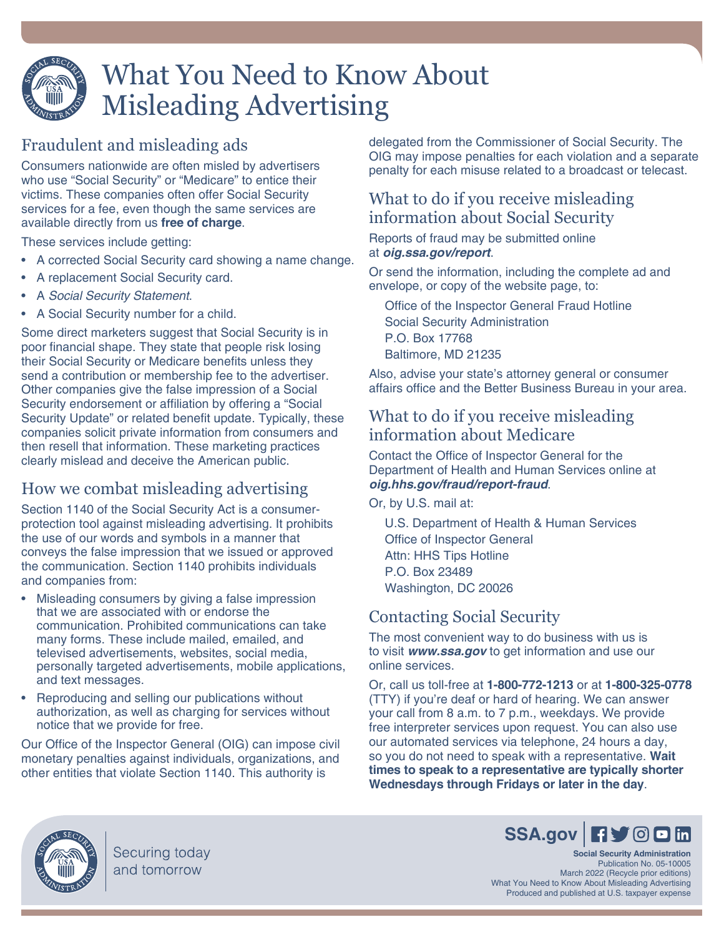

# What You Need to Know About Misleading Advertising

## Fraudulent and misleading ads

Consumers nationwide are often misled by advertisers who use "Social Security" or "Medicare" to entice their victims. These companies often offer Social Security services for a fee, even though the same services are available directly from us **free of charge**.

These services include getting:

- A corrected Social Security card showing a name change.
- A replacement Social Security card.
- A *Social Security Statement*.
- A Social Security number for a child.

Some direct marketers suggest that Social Security is in poor financial shape. They state that people risk losing their Social Security or Medicare benefits unless they send a contribution or membership fee to the advertiser. Other companies give the false impression of a Social Security endorsement or affiliation by offering a "Social Security Update" or related benefit update. Typically, these companies solicit private information from consumers and then resell that information. These marketing practices clearly mislead and deceive the American public.

### How we combat misleading advertising

Section 1140 of the Social Security Act is a consumerprotection tool against misleading advertising. It prohibits the use of our words and symbols in a manner that conveys the false impression that we issued or approved the communication. Section 1140 prohibits individuals and companies from:

- Misleading consumers by giving a false impression that we are associated with or endorse the communication. Prohibited communications can take many forms. These include mailed, emailed, and televised advertisements, websites, social media, personally targeted advertisements, mobile applications, and text messages.
- Reproducing and selling our publications without authorization, as well as charging for services without notice that we provide for free.

Our Office of the Inspector General (OIG) can impose civil monetary penalties against individuals, organizations, and other entities that violate Section 1140. This authority is

delegated from the Commissioner of Social Security. The OIG may impose penalties for each violation and a separate penalty for each misuse related to a broadcast or telecast.

### What to do if you receive misleading information about Social Security

Reports of fraud may be submitted online at *[oig.ssa.gov/report](https://oig.ssa.gov/report/)*.

Or send the information, including the complete ad and envelope, or copy of the website page, to:

Office of the Inspector General Fraud Hotline Social Security Administration P.O. Box 17768 Baltimore, MD 21235

Also, advise your state's attorney general or consumer affairs office and the Better Business Bureau in your area.

### What to do if you receive misleading information about Medicare

Contact the Office of Inspector General for the Department of Health and Human Services online at *[oig.hhs.gov/fraud/report-fraud](https://oig.hhs.gov/fraud/report-fraud/)*.

Or, by U.S. mail at:

U.S. Department of Health & Human Services Office of Inspector General Attn: HHS Tips Hotline P.O. Box 23489 Washington, DC 20026

## Contacting Social Security

The most convenient way to do business with us is to visit *[www.ssa.gov](https://www.ssa.gov)* to get information and use our online services.

Or, call us toll-free at **1-800-772-1213** or at **1-800-325-0778** (TTY) if you're deaf or hard of hearing. We can answer your call from 8 a.m. to 7 p.m., weekdays. We provide free interpreter services upon request. You can also use our automated services via telephone, 24 hours a day, so you do not need to speak with a representative. **Wait times to speak to a representative are typically shorter Wednesdays through Fridays or later in the day**.



Securing today and tomorrow

# SSA[.gov](https://www.ssa.gov) **Fy** OD in

**Social Security Administration** Publication No. 05-10005 March 2022 (Recycle prior editions) What You Need to Know About Misleading Advertising Produced and published at U.S. taxpayer expense